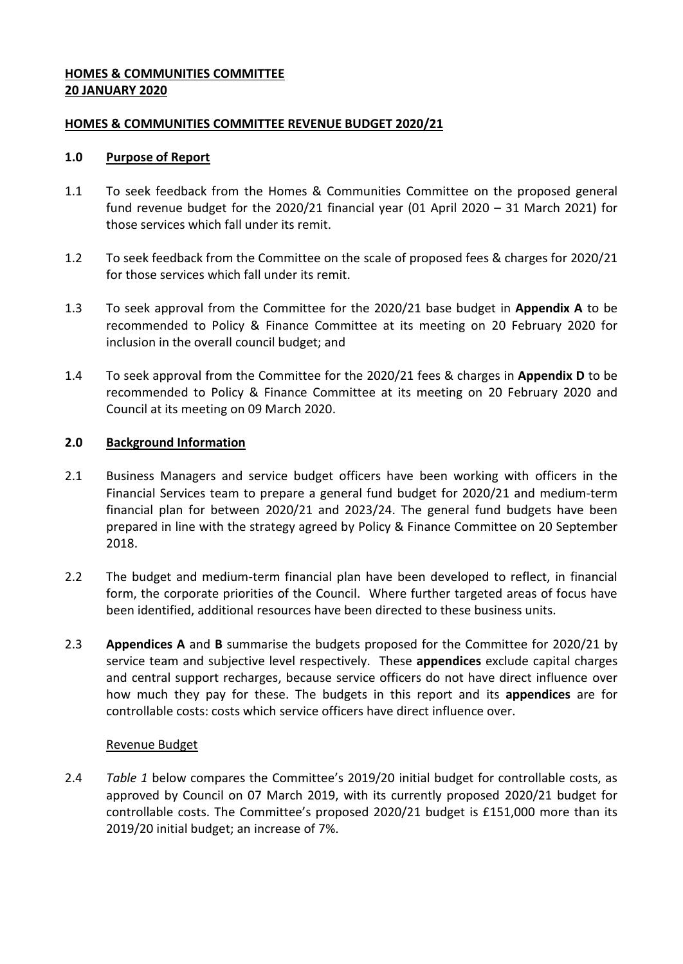# <span id="page-0-0"></span>**HOMES & COMMUNITIES COMMITTEE 20 JANUARY 2020**

### <span id="page-0-1"></span>**[HOMES & COMMUNITIES](#page-0-0) COMMITTEE REVENUE BUDGET 2020/21**

#### **1.0 Purpose of Report**

- <span id="page-0-4"></span>1.1 To seek feedback from the Homes & Communities Committee on the proposed general fund revenue budget for the [2020/21](#page-0-1) financial year (01 April 2020 – 31 March 2021) for those services which fall under its remit.
- 1.2 To seek feedback from the Committee on the scale of proposed fees & charges for [2020/21](#page-0-1) for those services which fall under its remit.
- <span id="page-0-2"></span>1.3 To seek approval from the Committee for the [2020/21](#page-0-1) base budget in **Appendix A** to be recommended to Policy & Finance Committee at its meeting on 20 February 2020 for inclusion in the overall council budget; and
- <span id="page-0-5"></span>1.4 To seek approval from the Committee for the [2020/21](#page-0-1) fees & charges in **Appendix D** to be recommended to Policy & Finance Committee at its meeting on 20 [February 2020](#page-0-2) and Council at its meeting on 09 March 2020.

#### **2.0 Background Information**

- 2.1 Business Managers and service budget officers have been working with officers in the Financial Services team to prepare a general fund budget for [2020/21](#page-0-1) and medium-term financial plan for between [2020/21](#page-0-1) and 2023/24. The general fund budgets have been prepared in line with the strategy agreed by Policy & Finance Committee on 20 September 2018.
- 2.2 The budget and medium-term financial plan have been developed to reflect, in financial form, the corporate priorities of the Council. Where further targeted areas of focus have been identified, additional resources have been directed to these business units.
- 2.3 **Appendices A** and **B** summarise the budgets proposed for the Committee for [2020/21](#page-0-1) by service team and subjective level respectively. These **appendices** exclude capital charges and central support recharges, because service officers do not have direct influence over how much they pay for these. The budgets in this report and its **appendices** are for controllable costs: costs which service officers have direct influence over.

#### <span id="page-0-3"></span>Revenue Budget

2.4 *Table 1* below compares the Committee's 2019/20 initial budget for controllable costs, as approved by Council on 07 March 2019, with its currently proposed [2020/21](#page-0-1) budget for controllable costs. The Committee's proposed [2020/21](#page-0-1) budget is £151,000 more than its [2019/20](#page-0-3) initial budget; an increase of 7%.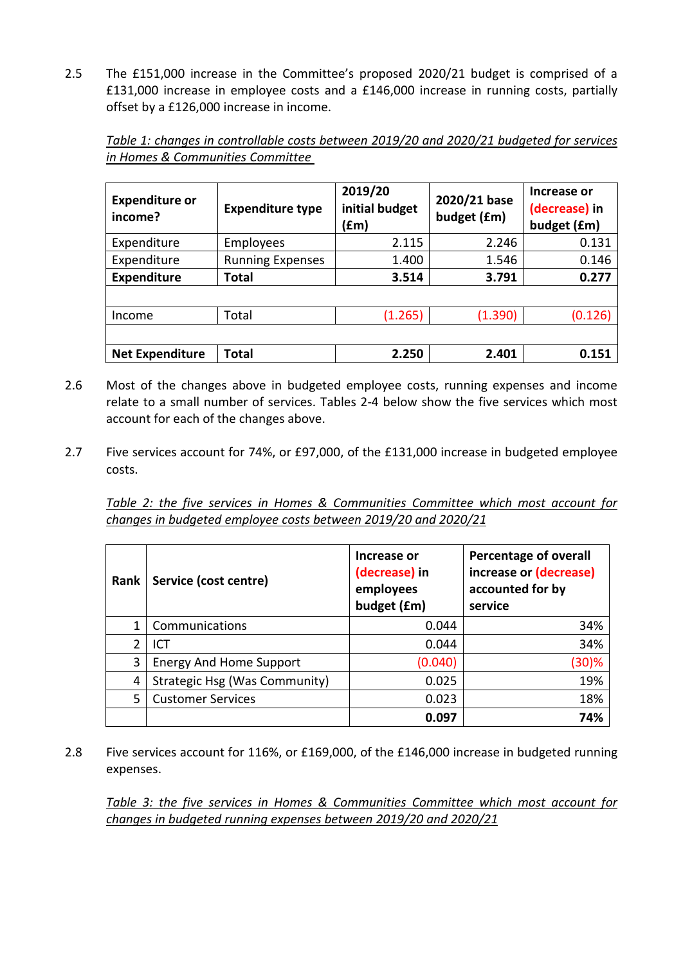2.5 The £151,000 increase in the Committee's proposed [2020/21](#page-0-1) budget is comprised of a £131,000 increase in employee costs and a £146,000 increase in running costs, partially offset by a £126,000 increase in income.

*Table 1: changes in controllable costs between [2019/20](#page-0-3) and [2020/21](#page-0-1) budgeted for services in [Homes & Communities](#page-0-4) Committee* 

<span id="page-1-0"></span>

| <b>Expenditure or</b><br>income? | <b>Expenditure type</b> | 2019/20<br>initial budget<br>(fm) | 2020/21 base<br>budget (£m) | Increase or<br>(decrease) in<br>budget (£m) |
|----------------------------------|-------------------------|-----------------------------------|-----------------------------|---------------------------------------------|
| Expenditure                      | Employees               | 2.115                             | 2.246                       | 0.131                                       |
| Expenditure                      | <b>Running Expenses</b> | 1.400                             | 1.546                       | 0.146                                       |
| <b>Expenditure</b>               | Total                   | 3.514                             | 3.791                       | 0.277                                       |
|                                  |                         |                                   |                             |                                             |
| Income                           | Total                   | (1.265)                           | (1.390)                     | (0.126)                                     |
|                                  |                         |                                   |                             |                                             |
| <b>Net Expenditure</b>           | Total                   | 2.250                             | 2.401                       | 0.151                                       |

- 2.6 Most of the changes above in budgeted employee costs, running expenses and income relate to a small number of services. Tables 2-4 below show the five services which most account for each of the changes above.
- 2.7 Five services account for 74%, or £97,000, of the £131,000 increase in budgeted employee costs.

*Table 2: the five services in [Homes & Communities](#page-0-4) Committee which most account for changes in budgeted employee costs between [2019/20](#page-0-3) and [2020/21](#page-0-1)*

| Rank | Service (cost centre)          | Increase or<br>(decrease) in<br>employees<br>budget (£m) | <b>Percentage of overall</b><br>increase or (decrease)<br>accounted for by<br>service |
|------|--------------------------------|----------------------------------------------------------|---------------------------------------------------------------------------------------|
|      | Communications                 | 0.044                                                    | 34%                                                                                   |
| 2    | ICT                            | 0.044                                                    | 34%                                                                                   |
| 3    | <b>Energy And Home Support</b> | (0.040)                                                  | $(30)$ %                                                                              |
| 4    | Strategic Hsg (Was Community)  | 0.025                                                    | 19%                                                                                   |
| 5    | <b>Customer Services</b>       | 0.023                                                    | 18%                                                                                   |
|      |                                | 0.097                                                    | 74%                                                                                   |

2.8 Five services account for 116%, or £169,000, of the £146,000 increase in budgeted running expenses.

*Table 3: the five services in [Homes & Communities](#page-0-4) Committee which most account for changes in budgeted running expenses between [2019/20](#page-0-3) and [2020/21](#page-0-1)*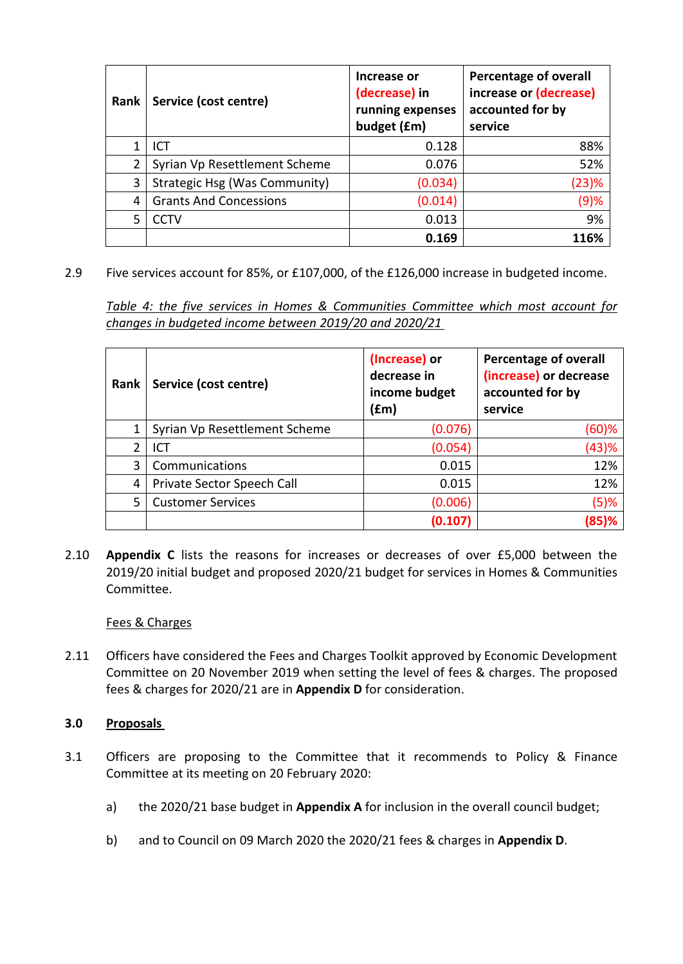| Rank | Service (cost centre)         | Increase or<br>(decrease) in<br>running expenses<br>budget (£m) | <b>Percentage of overall</b><br>increase or (decrease)<br>accounted for by<br>service |
|------|-------------------------------|-----------------------------------------------------------------|---------------------------------------------------------------------------------------|
|      | ICT                           | 0.128                                                           | 88%                                                                                   |
| 2    | Syrian Vp Resettlement Scheme | 0.076                                                           | 52%                                                                                   |
| 3    | Strategic Hsg (Was Community) | (0.034)                                                         | (23)%                                                                                 |
| 4    | <b>Grants And Concessions</b> | (0.014)                                                         | (9)%                                                                                  |
| 5    | CCTV                          | 0.013                                                           | 9%                                                                                    |
|      |                               | 0.169                                                           | 116%                                                                                  |

2.9 Five services account for 85%, or £107,000, of the £126,000 increase in budgeted income.

*Table 4: the five services in [Homes & Communities](#page-0-4) Committee which most account for changes in budgeted income between [2019/20](#page-0-3) and [2020/21](#page-0-1)*

| Rank | Service (cost centre)         | (Increase) or<br>decrease in<br>income budget<br>(£m) | <b>Percentage of overall</b><br>(increase) or decrease<br>accounted for by<br>service |
|------|-------------------------------|-------------------------------------------------------|---------------------------------------------------------------------------------------|
|      | Syrian Vp Resettlement Scheme | (0.076)                                               | (60)%                                                                                 |
| 2    | ICT                           | (0.054)                                               | (43)%                                                                                 |
| 3    | Communications                | 0.015                                                 | 12%                                                                                   |
| 4    | Private Sector Speech Call    | 0.015                                                 | 12%                                                                                   |
| 5    | <b>Customer Services</b>      | (0.006)                                               | (5)%                                                                                  |
|      |                               | (0.107)                                               | 85)%                                                                                  |

2.10 **Appendix C** lists the reasons for increases or decreases of over £5,000 between the [2019/20](#page-0-3) initial budget and proposed [2020/21](#page-0-1) budget for services in [Homes & Communities](#page-0-4) Committee.

# Fees & Charges

2.11 Officers have considered the Fees and Charges Toolkit approved by Economic Development Committee on 20 November 2019 when setting the level of fees & charges. The proposed fees & charges for [2020/21](#page-0-1) are in **Appendix D** for consideration.

#### **3.0 Proposals**

- 3.1 Officers are proposing to the Committee that it recommends to Policy & Finance Committee at its meeting on 20 [February 2020:](#page-0-2)
	- a) the [2020/21](#page-0-1) base budget in **Appendix A** for inclusion in the overall council budget;
	- b) and to Council on [09 March 2020](#page-0-5) the [2020/21](#page-0-1) fees & charges in **Appendix D**.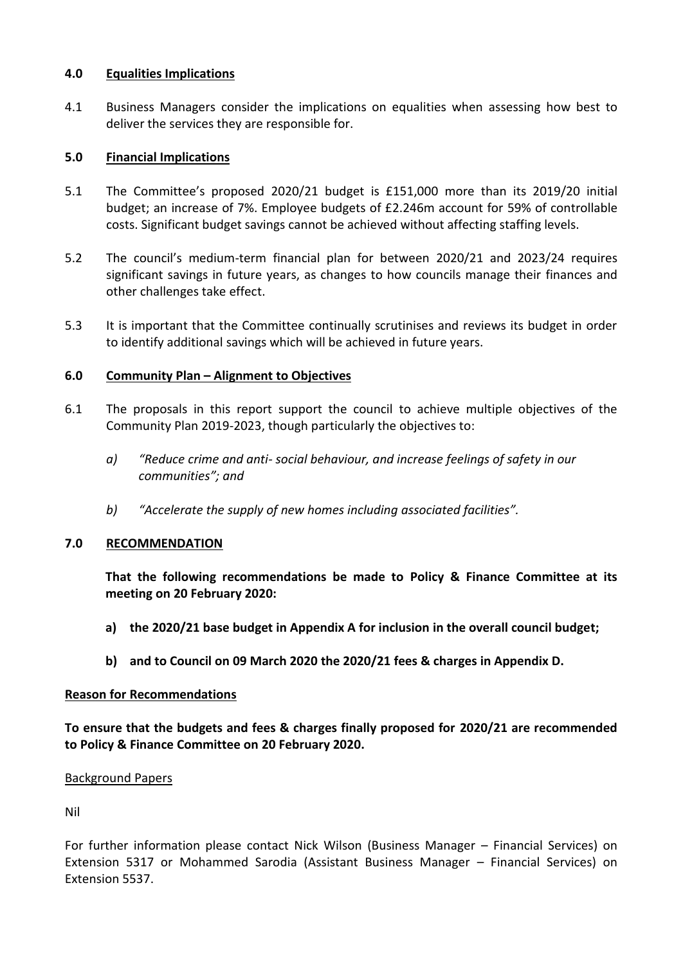#### **4.0 Equalities Implications**

4.1 Business Managers consider the implications on equalities when assessing how best to deliver the services they are responsible for.

## **5.0 Financial Implications**

- 5.1 The Committee's proposed [2020/21](#page-0-1) budget is £151,000 more than its [2019/20](#page-0-3) initial budget; an increase of 7%. Employee budgets of [£2.246m](#page-1-0) account for 59% of controllable costs. Significant budget savings cannot be achieved without affecting staffing levels.
- 5.2 The council's medium-term financial plan for between [2020/21](#page-0-1) and 2023/24 requires significant savings in future years, as changes to how councils manage their finances and other challenges take effect.
- 5.3 It is important that the Committee continually scrutinises and reviews its budget in order to identify additional savings which will be achieved in future years.

### **6.0 Community Plan – Alignment to Objectives**

- 6.1 The proposals in this report support the council to achieve multiple objectives of the Community Plan 2019-2023, though particularly the objectives to:
	- *a) "Reduce crime and anti- social behaviour, and increase feelings of safety in our communities"; and*
	- *b) "Accelerate the supply of new homes including associated facilities".*

#### **7.0 RECOMMENDATION**

**That the following recommendations be made to Policy & Finance Committee at its meeting on 20 [February 2020:](#page-0-2)**

- **a) th[e 2020/21](#page-0-1) base budget in Appendix A for inclusion in the overall council budget;**
- **b) and to Council on [09 March 2020](#page-0-5) the [2020/21](#page-0-1) fees & charges in Appendix D.**

#### **Reason for Recommendations**

**To ensure that the budgets and fees & charges finally proposed for [2020/21](#page-0-1) are recommended to Policy & Finance Committee on 20 [February 2020.](#page-0-2)**

#### Background Papers

Nil

For further information please contact Nick Wilson (Business Manager – Financial Services) on Extension 5317 or Mohammed Sarodia (Assistant Business Manager – Financial Services) on Extension 5537.